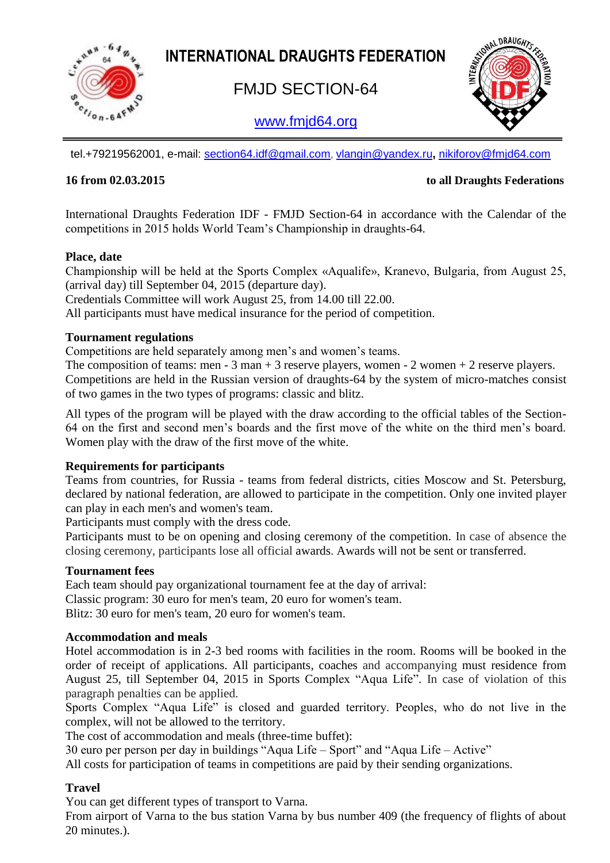**INTERNATIONAL DRAUGHTS FEDERATION**

FMJD SECTION-64

[www.fmjd64.org](http://www.fmjd64.org/)

AL DRAUGH

tel.+79219562001, e-mail: [section64.idf@gmail.com](mailto:section64.idf@gmail.com), [vlangin@yandex.ru](mailto:vlangin@yandex.ru)**,** [nikiforov@fmjd64.com](mailto:nikiforov@fmjd64.com)

## **16 from 02.03.2015 to all Draughts Federations**

International Draughts Federation IDF - FMJD Section-64 in accordance with the Calendar of the competitions in 2015 holds World Team's Championship in draughts-64.

## **Place, date**

Championship will be held at the Sports Complex «Aqualife», Kranevo, Bulgaria, from August 25, (arrival day) till September 04, 2015 (departure day).

Credentials Committee will work August 25, from 14.00 till 22.00.

All participants must have medical insurance for the period of competition.

# **Tournament regulations**

Competitions are held separately among men's and women's teams.

The composition of teams: men - 3 man + 3 reserve players, women - 2 women + 2 reserve players. Competitions are held in the Russian version of draughts-64 by the system of micro-matches consist of two games in the two types of programs: classic and blitz.

All types of the program will be played with the draw according to the official tables of the Section-64 on the first and second men's boards and the first move of the white on the third men's board. Women play with the draw of the first move of the white.

## **Requirements for participants**

Teams from countries, for Russia - teams from federal districts, cities Moscow and St. Petersburg, declared by national federation, are allowed to participate in the competition. Only one invited player can play in each men's and women's team.

Participants must comply with the dress code.

Participants must to be on opening and closing ceremony of the competition. In case of absence the closing ceremony, participants lose all official awards. Awards will not be sent or transferred.

## **Tournament fees**

Each team should pay organizational tournament fee at the day of arrival: Classic program: 30 euro for men's team, 20 euro for women's team. Blitz: 30 euro for men's team, 20 euro for women's team.

## **Accommodation and meals**

Hotel accommodation is in 2-3 bed rooms with facilities in the room. Rooms will be booked in the order of receipt of applications. All participants, coaches and accompanying must residence from August 25, till September 04, 2015 in Sports Complex "Aqua Life". In case of violation of this paragraph penalties can be applied.

Sports Complex "Aqua Life" is closed and guarded territory. Peoples, who do not live in the complex, will not be allowed to the territory.

The cost of accommodation and meals (three-time buffet):

30 euro per person per day in buildings "Aqua Life – Sport" and "Aqua Life – Active"

All costs for participation of teams in competitions are paid by their sending organizations.

# **Travel**

You can get different types of transport to Varna.

From airport of Varna to the bus station Varna by bus number 409 (the frequency of flights of about 20 minutes.).